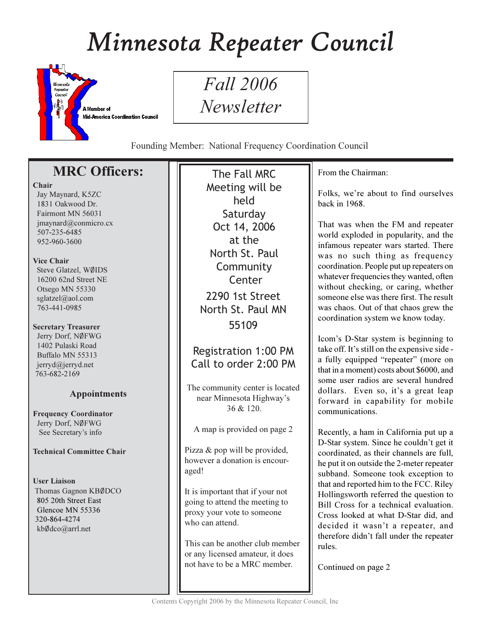# Minnesota Repeater Council



*Fall* 2006 Newsletter

Founding Member: National Frequency Coordination Council

# **MRC Officers:**

## Chair

Jay Maynard, K5ZC 1831 Oakwood Dr. Fairmont MN 56031  $imavnard@comnicro.cx$ 507-235-6485 952-960-3600

# Vice Chair

Steve Glatzel, WØIDS 16200 62nd Street NE Otsego MN 55330 sglatzel@aol.com 763-441-0985

# **Secretary Treasurer**

Jerry Dorf, NØFWG 1402 Pulaski Road Buffalo MN 55313 jerryd@jerryd.net 763-682-2169

# **Appointments**

**Frequency Coordinator** Jerry Dorf, NØFWG See Secretary's info

# **Technical Committee Chair**

**User Liaison** Thomas Gagnon KBØDCO 805 20th Street East Glencoe MN 55336 320-864-4274 kbØdco@arrl.net

The Fall MRC Meeting will be held Saturday Oct 14, 2006 at the North St. Paul Community Center 2290 1st Street North St. Paul MN 55109

# Registration 1:00 PM Call to order 2:00 PM

The community center is located near Minnesota Highway's  $36 & 120$ 

A map is provided on page 2

Pizza & pop will be provided, however a donation is encouraged!

It is important that if your not going to attend the meeting to proxy your vote to someone who can attend.

This can be another club member or any licensed amateur, it does not have to be a MRC member.

From the Chairman:

Folks, we're about to find ourselves back in 1968.

That was when the FM and repeater world exploded in popularity, and the infamous repeater wars started. There was no such thing as frequency coordination. People put up repeaters on whatever frequencies they wanted, often without checking, or caring, whether someone else was there first. The result was chaos. Out of that chaos grew the coordination system we know today.

Icom's D-Star system is beginning to take off. It's still on the expensive side a fully equipped "repeater" (more on that in a moment) costs about \$6000, and some user radios are several hundred dollars. Even so, it's a great leap forward in capability for mobile communications.

Recently, a ham in California put up a D-Star system. Since he couldn't get it coordinated, as their channels are full, he put it on outside the 2-meter repeater subband. Someone took exception to that and reported him to the FCC. Riley Hollingsworth referred the question to Bill Cross for a technical evaluation. Cross looked at what D-Star did, and decided it wasn't a repeater, and therefore didn't fall under the repeater rules.

Continued on page 2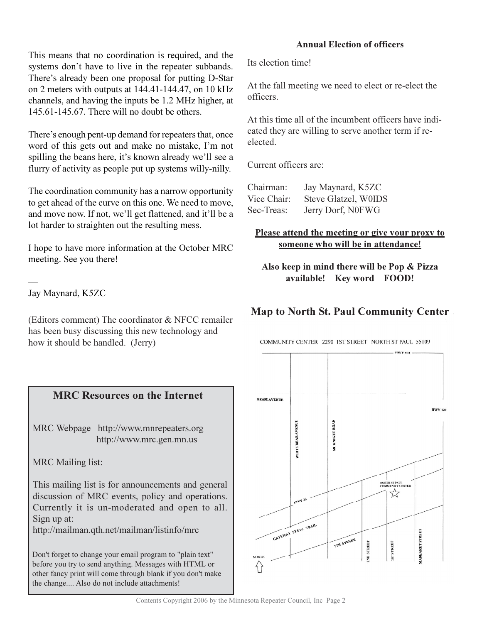This means that no coordination is required, and the systems don't have to live in the repeater subbands. There's already been one proposal for putting D-Star on 2 meters with outputs at 144.41-144.47, on 10 kHz channels, and having the inputs be 1.2 MHz higher, at 145.61-145.67. There will no doubt be others.

There's enough pent-up demand for repeaters that, once word of this gets out and make no mistake, I'm not spilling the beans here, it's known already we'll see a flurry of activity as people put up systems willy-nilly.

The coordination community has a narrow opportunity to get ahead of the curve on this one. We need to move, and move now. If not, we'll get flattened, and it'll be a lot harder to straighten out the resulting mess.

I hope to have more information at the October MRC meeting. See you there!

Jay Maynard, K5ZC

(Editors comment) The coordinator & NFCC remailer has been busy discussing this new technology and how it should be handled. (Jerry)

# **MRC Resources on the Internet**

MRC Webpage http://www.mnrepeaters.org http://www.mrc.gen.mn.us

**MRC** Mailing list:

This mailing list is for announcements and general discussion of MRC events, policy and operations. Currently it is un-moderated and open to all. Sign up at:

http://mailman.qth.net/mailman/listinfo/mrc

Don't forget to change your email program to "plain text" before you try to send anything. Messages with HTML or other fancy print will come through blank if you don't make the change.... Also do not include attachments!

## **Annual Election of officers**

Its election time!

At the fall meeting we need to elect or re-elect the officers.

At this time all of the incumbent officers have indicated they are willing to serve another term if reelected.

Current officers are:

| Chairman:   | Jay Maynard, K5ZC    |
|-------------|----------------------|
| Vice Chair: | Steve Glatzel, W0IDS |
| Sec-Treas:  | Jerry Dorf, N0FWG    |

## Please attend the meeting or give your proxy to someone who will be in attendance!

Also keep in mind there will be Pop & Pizza available! Key word FOOD!

# **Map to North St. Paul Community Center**

COMMUNITY CENTER 2290 IST STREET NORTH ST PAUL 55109

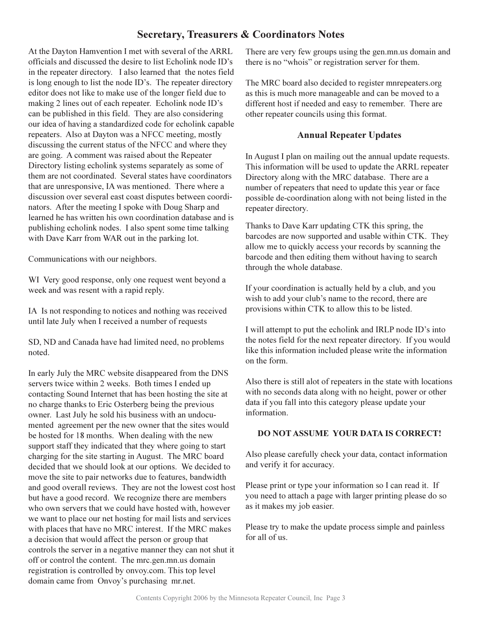# **Secretary, Treasurers & Coordinators Notes**

At the Dayton Hamvention I met with several of the ARRL officials and discussed the desire to list Echolink node ID's in the repeater directory. I also learned that the notes field is long enough to list the node ID's. The repeater directory editor does not like to make use of the longer field due to making 2 lines out of each repeater. Echolink node ID's can be published in this field. They are also considering our idea of having a standardized code for echolink capable repeaters. Also at Dayton was a NFCC meeting, mostly discussing the current status of the NFCC and where they are going. A comment was raised about the Repeater Directory listing echolink systems separately as some of them are not coordinated. Several states have coordinators that are unresponsive, IA was mentioned. There where a discussion over several east coast disputes between coordinators. After the meeting I spoke with Doug Sharp and learned he has written his own coordination database and is publishing echolink nodes. I also spent some time talking with Dave Karr from WAR out in the parking lot.

Communications with our neighbors.

WI Very good response, only one request went beyond a week and was resent with a rapid reply.

IA Is not responding to notices and nothing was received until late July when I received a number of requests

SD, ND and Canada have had limited need, no problems noted.

In early July the MRC website disappeared from the DNS servers twice within 2 weeks. Both times I ended up contacting Sound Internet that has been hosting the site at no charge thanks to Eric Osterberg being the previous owner. Last July he sold his business with an undocumented agreement per the new owner that the sites would be hosted for 18 months. When dealing with the new support staff they indicated that they where going to start charging for the site starting in August. The MRC board decided that we should look at our options. We decided to move the site to pair networks due to features, bandwidth and good overall reviews. They are not the lowest cost host but have a good record. We recognize there are members who own servers that we could have hosted with, however we want to place our net hosting for mail lists and services with places that have no MRC interest. If the MRC makes a decision that would affect the person or group that controls the server in a negative manner they can not shut it off or control the content. The mrc.gen.mn.us domain registration is controlled by onvoy.com. This top level domain came from Onvoy's purchasing mr.net.

There are very few groups using the gen.mn.us domain and there is no "whois" or registration server for them.

The MRC board also decided to register mnrepeaters.org as this is much more manageable and can be moved to a different host if needed and easy to remember. There are other repeater councils using this format.

# **Annual Repeater Updates**

In August I plan on mailing out the annual update requests. This information will be used to update the ARRL repeater Directory along with the MRC database. There are a number of repeaters that need to update this year or face possible de-coordination along with not being listed in the repeater directory.

Thanks to Dave Karr updating CTK this spring, the barcodes are now supported and usable within CTK. They allow me to quickly access your records by scanning the barcode and then editing them without having to search through the whole database.

If your coordination is actually held by a club, and you wish to add your club's name to the record, there are provisions within CTK to allow this to be listed.

I will attempt to put the echolink and IRLP node ID's into the notes field for the next repeater directory. If you would like this information included please write the information on the form.

Also there is still alot of repeaters in the state with locations with no seconds data along with no height, power or other data if you fall into this category please update your information.

## **DO NOT ASSUME YOUR DATA IS CORRECT!**

Also please carefully check your data, contact information and verify it for accuracy.

Please print or type your information so I can read it. If you need to attach a page with larger printing please do so as it makes my job easier.

Please try to make the update process simple and painless for all of us.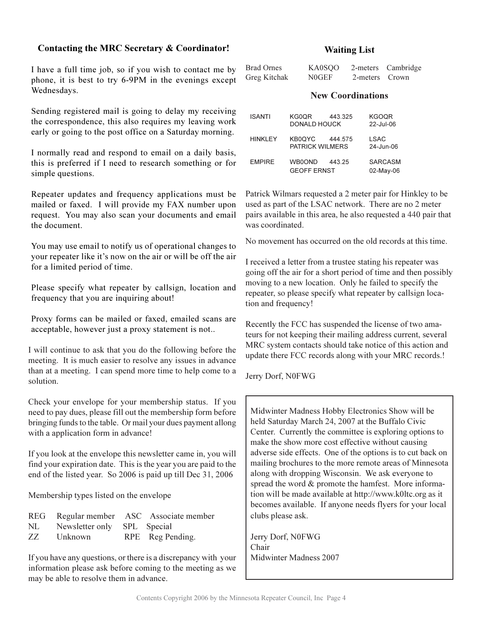#### Contacting the MRC Secretary & Coordinator!

I have a full time job, so if you wish to contact me by phone, it is best to try 6-9PM in the evenings except Wednesdays.

Sending registered mail is going to delay my receiving the correspondence, this also requires my leaving work early or going to the post office on a Saturday morning.

I normally read and respond to email on a daily basis, this is preferred if I need to research something or for simple questions.

Repeater updates and frequency applications must be mailed or faxed. I will provide my FAX number upon request. You may also scan your documents and email the document.

You may use email to notify us of operational changes to your repeater like it's now on the air or will be off the air for a limited period of time.

Please specify what repeater by callsign, location and frequency that you are inquiring about!

Proxy forms can be mailed or faxed, emailed scans are acceptable, however just a proxy statement is not..

I will continue to ask that you do the following before the meeting. It is much easier to resolve any issues in advance than at a meeting. I can spend more time to help come to a solution.

Check your envelope for your membership status. If you need to pay dues, please fill out the membership form before bringing funds to the table. Or mail your dues payment allong with a application form in advance!

If you look at the envelope this newsletter came in, you will find your expiration date. This is the year you are paid to the end of the listed year. So 2006 is paid up till Dec 31, 2006

Membership types listed on the envelope

|     |                             | REG Regular member ASC Associate member |
|-----|-----------------------------|-----------------------------------------|
| NL  | Newsletter only SPL Special |                                         |
| ZZ. | Unknown                     | RPE Reg Pending.                        |

If you have any questions, or there is a discrepancy with your information please ask before coming to the meeting as we may be able to resolve them in advance.

#### **Waiting List**

| <b>Brad Ornes</b> | KA0SOO |                | 2-meters Cambridge |
|-------------------|--------|----------------|--------------------|
| Greg Kitchak      | N0GEF  | 2-meters Crown |                    |

## **New Coordinations**

| <b>ISANTI</b>   | KG0OR<br>DONALD HOUCK            | 443.325 | <b>KGOQR</b><br>22-Jul-06   |
|-----------------|----------------------------------|---------|-----------------------------|
| <b>HINKI FY</b> | KB0OYC<br><b>PATRICK WILMERS</b> | 444.575 | LSAC<br>24-Jun-06           |
| <b>FMPIRF</b>   | WB0OND<br><b>GEOFF ERNST</b>     | 443.25  | <b>SARCASM</b><br>02-May-06 |

Patrick Wilmars requested a 2 meter pair for Hinkley to be used as part of the LSAC network. There are no 2 meter pairs available in this area, he also requested a 440 pair that was coordinated

No movement has occurred on the old records at this time.

I received a letter from a trustee stating his repeater was going off the air for a short period of time and then possibly moving to a new location. Only he failed to specify the repeater, so please specify what repeater by callsign location and frequency!

Recently the FCC has suspended the license of two amateurs for not keeping their mailing address current, several MRC system contacts should take notice of this action and update there FCC records along with your MRC records.!

Jerry Dorf, N0FWG

Midwinter Madness Hobby Electronics Show will be held Saturday March 24, 2007 at the Buffalo Civic Center. Currently the committee is exploring options to make the show more cost effective without causing adverse side effects. One of the options is to cut back on mailing brochures to the more remote areas of Minnesota along with dropping Wisconsin. We ask everyone to spread the word & promote the hamfest. More information will be made available at http://www.k0ltc.org as it becomes available. If anyone needs flyers for your local clubs please ask.

Jerry Dorf, N0FWG Chair Midwinter Madness 2007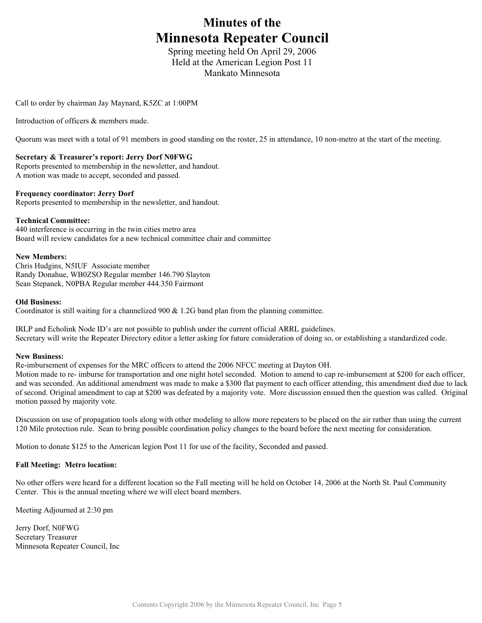# **Minutes of the Minnesota Repeater Council**

Spring meeting held On April 29, 2006 Held at the American Legion Post 11 Mankato Minnesota

Call to order by chairman Jay Maynard, K5ZC at 1:00PM

Introduction of officers & members made.

Quorum was meet with a total of 91 members in good standing on the roster, 25 in attendance, 10 non-metro at the start of the meeting.

#### **Secretary & Treasurer's report: Jerry Dorf N0FWG**

Reports presented to membership in the newsletter, and handout. A motion was made to accept, seconded and passed.

#### **Frequency coordinator: Jerry Dorf**

Reports presented to membership in the newsletter, and handout.

#### **Technical Committee:**

440 interference is occurring in the twin cities metro area Board will review candidates for a new technical committee chair and committee

#### **New Members:**

Chris Hudgins, N5IUF Associate member Randy Donahue, WB0ZSO Regular member 146.790 Slayton Sean Stepanek, N0PBA Regular member 444.350 Fairmont

#### **Old Business:**

Coordinator is still waiting for a channelized 900 & 1.2G band plan from the planning committee.

IRLP and Echolink Node ID's are not possible to publish under the current official ARRL guidelines. Secretary will write the Repeater Directory editor a letter asking for future consideration of doing so, or establishing a standardized code.

#### **New Business:**

Re-imbursement of expenses for the MRC officers to attend the 2006 NFCC meeting at Dayton OH.

Motion made to re- imburse for transportation and one night hotel seconded. Motion to amend to cap re-imbursement at \$200 for each officer, and was seconded. An additional amendment was made to make a \$300 flat payment to each officer attending, this amendment died due to lack of second. Original amendment to cap at \$200 was defeated by a majority vote. More discussion ensued then the question was called. Original motion passed by majority vote.

Discussion on use of propagation tools along with other modeling to allow more repeaters to be placed on the air rather than using the current 120 Mile protection rule. Sean to bring possible coordination policy changes to the board before the next meeting for consideration.

Motion to donate \$125 to the American legion Post 11 for use of the facility, Seconded and passed.

#### **Fall Meeting: Metro location:**

No other offers were heard for a different location so the Fall meeting will be held on October 14, 2006 at the North St. Paul Community Center. This is the annual meeting where we will elect board members.

Meeting Adjourned at 2:30 pm

Jerry Dorf, N0FWG Secretary Treasurer Minnesota Repeater Council, Inc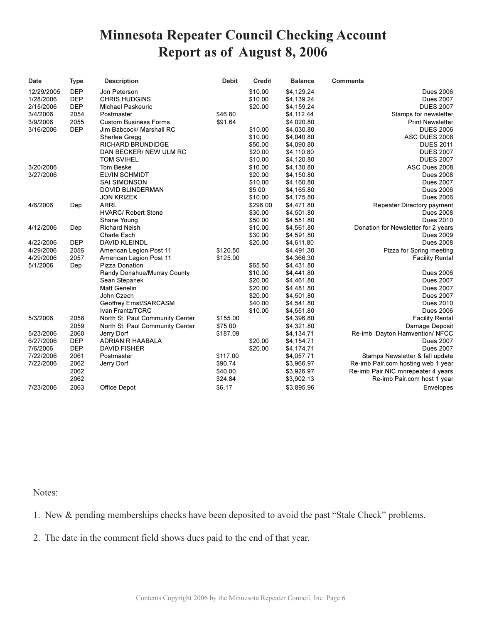# **Minnesota Repeater Council Checking Account** Report as of August 8, 2006

| Date       | <b>Type</b> | <b>Description</b>              | <b>Debit</b> | <b>Credit</b> | <b>Balance</b> | <b>Comments</b>                     |
|------------|-------------|---------------------------------|--------------|---------------|----------------|-------------------------------------|
| 12/29/2005 | <b>DEP</b>  | Jon Peterson                    |              | \$10.00       | \$4,129.24     | <b>Dues 2006</b>                    |
| 1/28/2006  | <b>DEP</b>  | <b>CHRIS HUDGINS</b>            |              | \$10.00       | \$4,139.24     | <b>Dues 2007</b>                    |
| 2/15/2006  | <b>DEP</b>  | <b>Michael Paskeuric</b>        |              | \$20.00       | \$4,159.24     | <b>DUES 2007</b>                    |
| 3/4/2006   | 2054        | Postmaster                      | \$46.80      |               | \$4,112.44     | Stamps for newsletter               |
| 3/9/2006   | 2055        | <b>Custom Business Forms</b>    | \$91.64      |               | \$4,020.80     | <b>Print Newsletter</b>             |
| 3/16/2006  | <b>DEP</b>  | Jim Babcock/ Marshall RC        |              | \$10.00       | \$4,030.80     | <b>DUES 2006</b>                    |
|            |             | Sherlee Gregg                   |              | \$10.00       | \$4,040.80     | ASC DUES 2008                       |
|            |             | <b>RICHARD BRUNDIDGE</b>        |              | \$50.00       | \$4,090.80     | <b>DUES 2011</b>                    |
|            |             | DAN BECKER/ NEW ULM RC          |              | \$20.00       | \$4,110.80     | <b>DUES 2007</b>                    |
|            |             | <b>TOM SVIHEL</b>               |              | \$10.00       | \$4,120.80     | <b>DUES 2007</b>                    |
| 3/20/2006  |             | <b>Tom Beske</b>                |              | \$10.00       | \$4,130.80     | ASC Dues 2008                       |
| 3/27/2006  |             | <b>ELVIN SCHMIDT</b>            |              | \$20.00       | \$4,150.80     | <b>Dues 2008</b>                    |
|            |             | <b>SAI SIMONSON</b>             |              | \$10.00       | \$4,160.80     | <b>Dues 2007</b>                    |
|            |             | <b>DOVID BLINDERMAN</b>         |              | \$5.00        | \$4,165.80     | <b>Dues 2006</b>                    |
|            |             | <b>JON KRIZEK</b>               |              | \$10.00       | \$4,175.80     | <b>Dues 2006</b>                    |
| 4/6/2006   | Dep         | <b>ARRL</b>                     |              | \$296.00      | \$4,471.80     | Repeater Directory payment          |
|            |             | <b>HVARC/ Robert Stone</b>      |              | \$30.00       | \$4,501.80     | <b>Dues 2008</b>                    |
|            |             | Shane Young                     |              | \$50.00       | \$4,551.80     | <b>Dues 2010</b>                    |
| 4/12/2006  | Dep         | <b>Richard Neish</b>            |              | \$10.00       | \$4,561.80     | Donation for Newsletter for 2 years |
|            |             | Charle Esch                     |              | \$30.00       | \$4,591.80     | <b>Dues 2009</b>                    |
| 4/22/2006  | <b>DEP</b>  | <b>DAVID KLEINDL</b>            |              | \$20.00       | \$4,611.80     | <b>Dues 2008</b>                    |
| 4/29/2006  | 2056        | American Legion Post 11         | \$120.50     |               | \$4,491.30     | Pizza for Spring meeting            |
| 4/29/2006  | 2057        | American Legion Post 11         | \$125.00     |               | \$4,366.30     | <b>Facility Rental</b>              |
| 5/1/2006   | Dep         | Pizza Donation                  |              | \$65.50       | \$4,431.80     |                                     |
|            |             | Randy Donahue/Murray County     |              | \$10.00       | \$4,441.80     | <b>Dues 2006</b>                    |
|            |             | Sean Stepanek                   |              | \$20.00       | \$4,461.80     | <b>Dues 2007</b>                    |
|            |             | <b>Matt Genelin</b>             |              | \$20.00       | \$4,481.80     | <b>Dues 2007</b>                    |
|            |             | John Czech                      |              | \$20.00       | \$4,501.80     | <b>Dues 2007</b>                    |
|            |             | Geoffrey Ernst/SARCASM          |              | \$40.00       | \$4,541.80     | <b>Dues 2010</b>                    |
|            |             | Ivan Frantz/TCRC                |              | \$10.00       | \$4,551.80     | <b>Dues 2006</b>                    |
| 5/3/2006   | 2058        | North St. Paul Community Center | \$155.00     |               | \$4,396.80     | <b>Facility Rental</b>              |
|            | 2059        | North St. Paul Community Center | \$75.00      |               | \$4,321.80     | Damage Deposit                      |
| 5/23/2006  | 2060        | Jerry Dorf                      | \$187.09     |               | \$4,134.71     | Re-imb Dayton Hamvention/ NFCC      |
| 6/27/2006  | <b>DEP</b>  | ADRIAN R HAABALA                |              | \$20.00       | \$4,154.71     | <b>Dues 2007</b>                    |
| 7/6/2006   | <b>DEP</b>  | <b>DAVID FISHER</b>             |              | \$20.00       | \$4,174.71     | <b>Dues 2007</b>                    |
| 7/22/2006  | 2061        | Postmaster                      | \$117.00     |               | \$4,057.71     | Stamps Newsletter & fall update     |
| 7/22/2006  | 2062        | Jerry Dorf                      | \$90.74      |               | \$3,966.97     | Re-imb Pair.com hosting web 1 year  |
|            | 2062        |                                 | \$40.00      |               | \$3,926.97     | Re-imb Pair NIC mnrepeater 4 years  |
|            | 2062        |                                 | \$24.84      |               | \$3,902.13     | Re-imb Pair.com host 1 year         |
| 7/23/2006  | 2063        | Office Depot                    | \$6.17       |               | \$3,895.96     | Envelopes                           |

Notes:

1. New & pending memberships checks have been deposited to avoid the past "Stale Check" problems.

2. The date in the comment field shows dues paid to the end of that year.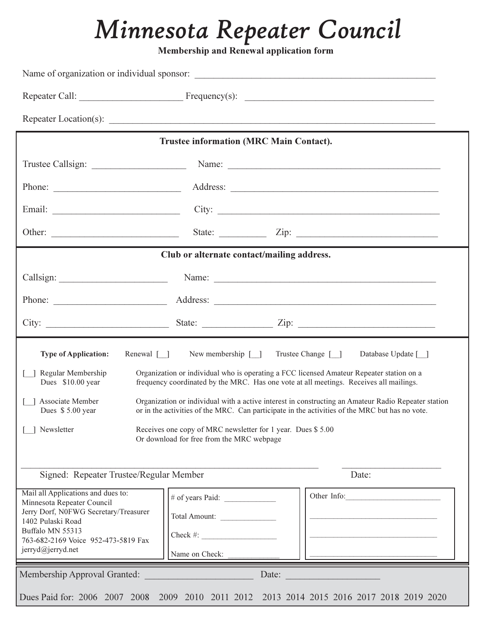# Minnesota Repeater Council

Membership and Renewal application form

|                                                                                                                                                                                                                                               | <b>Trustee information (MRC Main Contact).</b> |                                                                                                                |  |
|-----------------------------------------------------------------------------------------------------------------------------------------------------------------------------------------------------------------------------------------------|------------------------------------------------|----------------------------------------------------------------------------------------------------------------|--|
|                                                                                                                                                                                                                                               |                                                |                                                                                                                |  |
| Phone:                                                                                                                                                                                                                                        |                                                |                                                                                                                |  |
|                                                                                                                                                                                                                                               |                                                | City:                                                                                                          |  |
|                                                                                                                                                                                                                                               |                                                |                                                                                                                |  |
|                                                                                                                                                                                                                                               | Club or alternate contact/mailing address.     |                                                                                                                |  |
|                                                                                                                                                                                                                                               |                                                | Name: 2008. 2008. 2010. 2010. 2010. 2010. 2010. 2010. 2010. 2010. 2010. 2010. 2010. 2010. 2010. 2010. 2010. 20 |  |
|                                                                                                                                                                                                                                               |                                                |                                                                                                                |  |
|                                                                                                                                                                                                                                               |                                                |                                                                                                                |  |
| New membership $\lceil \quad \rceil$<br>Trustee Change [ ]<br>Database Update [_]<br>Renewal $\lceil \cdot \rceil$<br><b>Type of Application:</b>                                                                                             |                                                |                                                                                                                |  |
| Organization or individual who is operating a FCC licensed Amateur Repeater station on a<br>Regular Membership<br>Dues \$10.00 year<br>frequency coordinated by the MRC. Has one vote at all meetings. Receives all mailings.                 |                                                |                                                                                                                |  |
| Associate Member<br>Organization or individual with a active interest in constructing an Amateur Radio Repeater station<br>or in the activities of the MRC. Can participate in the activities of the MRC but has no vote.<br>Dues \$5.00 year |                                                |                                                                                                                |  |
| Newsletter<br>Receives one copy of MRC newsletter for 1 year. Dues \$5.00<br>Or download for free from the MRC webpage                                                                                                                        |                                                |                                                                                                                |  |
| Signed: Repeater Trustee/Regular Member<br>Date:                                                                                                                                                                                              |                                                |                                                                                                                |  |
| Mail all Applications and dues to:<br>Minnesota Repeater Council                                                                                                                                                                              | # of years Paid:                               | Other Info:                                                                                                    |  |
| Jerry Dorf, N0FWG Secretary/Treasurer<br>1402 Pulaski Road                                                                                                                                                                                    | Total Amount:                                  |                                                                                                                |  |
| Buffalo MN 55313<br>763-682-2169 Voice 952-473-5819 Fax                                                                                                                                                                                       | $Check \#:$                                    |                                                                                                                |  |
| jerryd@jerryd.net<br>Name on Check:                                                                                                                                                                                                           |                                                |                                                                                                                |  |
| Membership Approval Granted:<br>Date:                                                                                                                                                                                                         |                                                |                                                                                                                |  |
|                                                                                                                                                                                                                                               |                                                | Dues Paid for: 2006 2007 2008 2009 2010 2011 2012 2013 2014 2015 2016 2017 2018 2019 2020                      |  |